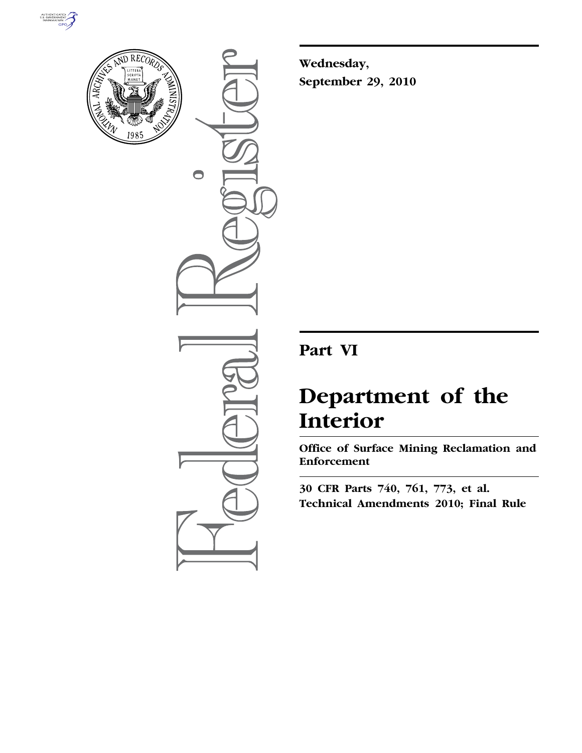



 $\bigcirc$ 

**Wednesday, September 29, 2010** 

# **Part VI**

# **Department of the Interior**

**Office of Surface Mining Reclamation and Enforcement** 

**30 CFR Parts 740, 761, 773, et al. Technical Amendments 2010; Final Rule**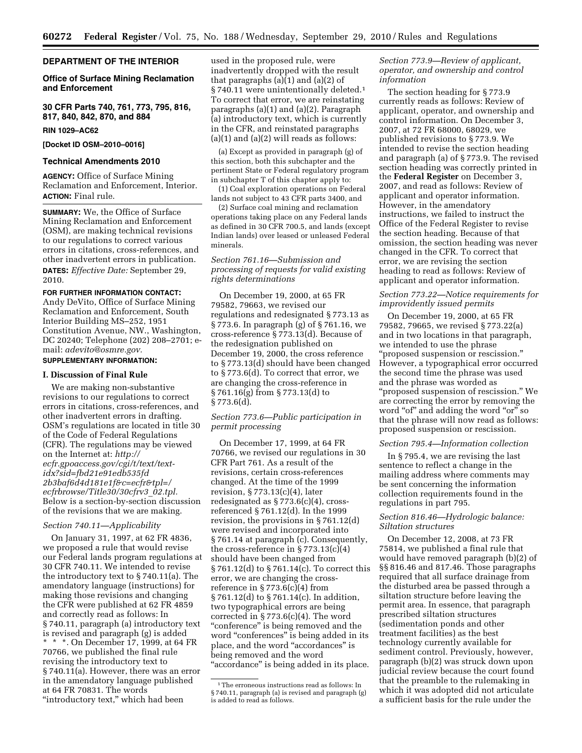#### **DEPARTMENT OF THE INTERIOR**

#### **Office of Surface Mining Reclamation and Enforcement**

**30 CFR Parts 740, 761, 773, 795, 816, 817, 840, 842, 870, and 884** 

#### **RIN 1029–AC62**

**[Docket ID OSM–2010–0016]** 

# **Technical Amendments 2010**

**AGENCY:** Office of Surface Mining Reclamation and Enforcement, Interior. **ACTION:** Final rule.

**SUMMARY:** We, the Office of Surface Mining Reclamation and Enforcement (OSM), are making technical revisions to our regulations to correct various errors in citations, cross-references, and other inadvertent errors in publication. **DATES:** *Effective Date:* September 29, 2010.

#### **FOR FURTHER INFORMATION CONTACT:**

Andy DeVito, Office of Surface Mining Reclamation and Enforcement, South Interior Building MS–252, 1951 Constitution Avenue, NW., Washington, DC 20240; Telephone (202) 208–2701; email: *[adevito@osmre.gov.](mailto:adevito@osmre.gov)* 

# **SUPPLEMENTARY INFORMATION:**

#### **I. Discussion of Final Rule**

We are making non-substantive revisions to our regulations to correct errors in citations, cross-references, and other inadvertent errors in drafting. OSM's regulations are located in title 30 of the Code of Federal Regulations (CFR). The regulations may be viewed on the Internet at: *[http://](http://ecfr.gpoaccess.gov/cgi/t/text/text-idx?sid=fbd21e91edb535fd2b3baf6d4d181e1f&c=ecfr&tpl=/ecfrbrowse/Title30/30cfrv3_02.tpl) [ecfr.gpoaccess.gov/cgi/t/text/text](http://ecfr.gpoaccess.gov/cgi/t/text/text-idx?sid=fbd21e91edb535fd2b3baf6d4d181e1f&c=ecfr&tpl=/ecfrbrowse/Title30/30cfrv3_02.tpl)[idx?sid=fbd21e91edb535fd](http://ecfr.gpoaccess.gov/cgi/t/text/text-idx?sid=fbd21e91edb535fd2b3baf6d4d181e1f&c=ecfr&tpl=/ecfrbrowse/Title30/30cfrv3_02.tpl) [2b3baf6d4d181e1f&c=ecfr&tpl=/](http://ecfr.gpoaccess.gov/cgi/t/text/text-idx?sid=fbd21e91edb535fd2b3baf6d4d181e1f&c=ecfr&tpl=/ecfrbrowse/Title30/30cfrv3_02.tpl) [ecfrbrowse/Title30/30cfrv3](http://ecfr.gpoaccess.gov/cgi/t/text/text-idx?sid=fbd21e91edb535fd2b3baf6d4d181e1f&c=ecfr&tpl=/ecfrbrowse/Title30/30cfrv3_02.tpl)*\_*02.tpl.*  Below is a section-by-section discussion of the revisions that we are making.

#### *Section 740.11—Applicability*

On January 31, 1997, at 62 FR 4836, we proposed a rule that would revise our Federal lands program regulations at 30 CFR 740.11. We intended to revise the introductory text to § 740.11(a). The amendatory language (instructions) for making those revisions and changing the CFR were published at 62 FR 4859 and correctly read as follows: In § 740.11, paragraph (a) introductory text is revised and paragraph (g) is added \* \* \*. On December 17, 1999, at 64 FR 70766, we published the final rule revising the introductory text to § 740.11(a). However, there was an error in the amendatory language published at 64 FR 70831. The words "introductory text," which had been

used in the proposed rule, were inadvertently dropped with the result that paragraphs (a)(1) and (a)(2) of § 740.11 were unintentionally deleted.1 To correct that error, we are reinstating paragraphs (a)(1) and (a)(2). Paragraph (a) introductory text, which is currently in the CFR, and reinstated paragraphs  $(a)(1)$  and  $(a)(2)$  will reads as follows:

(a) Except as provided in paragraph (g) of this section, both this subchapter and the pertinent State or Federal regulatory program in subchapter T of this chapter apply to:

(1) Coal exploration operations on Federal lands not subject to 43 CFR parts 3400, and

(2) Surface coal mining and reclamation operations taking place on any Federal lands as defined in 30 CFR 700.5, and lands (except Indian lands) over leased or unleased Federal minerals.

#### *Section 761.16—Submission and processing of requests for valid existing rights determinations*

On December 19, 2000, at 65 FR 79582, 79663, we revised our regulations and redesignated § 773.13 as § 773.6. In paragraph (g) of § 761.16, we cross-reference § 773.13(d). Because of the redesignation published on December 19, 2000, the cross reference to § 773.13(d) should have been changed to § 773.6(d). To correct that error, we are changing the cross-reference in § 761.16(g) from § 773.13(d) to  $§ 773.6(d).$ 

# *Section 773.6—Public participation in permit processing*

On December 17, 1999, at 64 FR 70766, we revised our regulations in 30 CFR Part 761. As a result of the revisions, certain cross-references changed. At the time of the 1999 revision, § 773.13(c)(4), later redesignated as  $\S 773.6(c)(4)$ , crossreferenced § 761.12(d). In the 1999 revision, the provisions in § 761.12(d) were revised and incorporated into § 761.14 at paragraph (c). Consequently, the cross-reference in  $\S 773.13(c)(4)$ should have been changed from § 761.12(d) to § 761.14(c). To correct this error, we are changing the crossreference in  $\S 773.6(c)(4)$  from § 761.12(d) to § 761.14(c). In addition, two typographical errors are being corrected in § 773.6(c)(4). The word "conference" is being removed and the word "conferences" is being added in its place, and the word "accordances" is being removed and the word "accordance" is being added in its place.

#### *Section 773.9—Review of applicant, operator, and ownership and control information*

The section heading for § 773.9 currently reads as follows: Review of applicant, operator, and ownership and control information. On December 3, 2007, at 72 FR 68000, 68029, we published revisions to § 773.9. We intended to revise the section heading and paragraph (a) of § 773.9. The revised section heading was correctly printed in the **Federal Register** on December 3, 2007, and read as follows: Review of applicant and operator information. However, in the amendatory instructions, we failed to instruct the Office of the Federal Register to revise the section heading. Because of that omission, the section heading was never changed in the CFR. To correct that error, we are revising the section heading to read as follows: Review of applicant and operator information.

# *Section 773.22—Notice requirements for improvidently issued permits*

On December 19, 2000, at 65 FR 79582, 79665, we revised § 773.22(a) and in two locations in that paragraph, we intended to use the phrase ''proposed suspension or rescission.'' However, a typographical error occurred the second time the phrase was used and the phrase was worded as ''proposed suspension of rescission.'' We are correcting the error by removing the word "of" and adding the word "or" so that the phrase will now read as follows: proposed suspension or rescission.

#### *Section 795.4—Information collection*

In § 795.4, we are revising the last sentence to reflect a change in the mailing address where comments may be sent concerning the information collection requirements found in the regulations in part 795.

# *Section 816.46—Hydrologic balance: Siltation structures*

On December 12, 2008, at 73 FR 75814, we published a final rule that would have removed paragraph (b)(2) of §§ 816.46 and 817.46. Those paragraphs required that all surface drainage from the disturbed area be passed through a siltation structure before leaving the permit area. In essence, that paragraph prescribed siltation structures (sedimentation ponds and other treatment facilities) as the best technology currently available for sediment control. Previously, however, paragraph (b)(2) was struck down upon judicial review because the court found that the preamble to the rulemaking in which it was adopted did not articulate a sufficient basis for the rule under the

<sup>1</sup>The erroneous instructions read as follows: In § 740.11, paragraph (a) is revised and paragraph (g) is added to read as follows.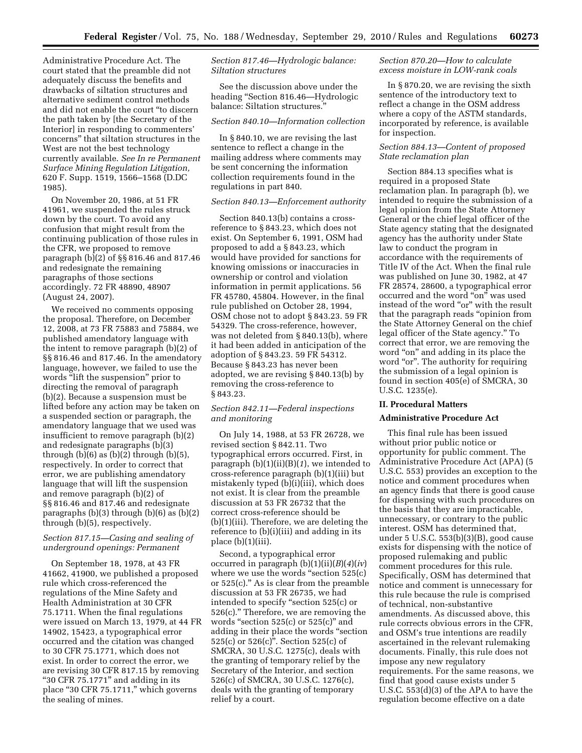Administrative Procedure Act. The court stated that the preamble did not adequately discuss the benefits and drawbacks of siltation structures and alternative sediment control methods and did not enable the court ''to discern the path taken by [the Secretary of the Interior] in responding to commenters' concerns'' that siltation structures in the West are not the best technology currently available. *See In re Permanent Surface Mining Regulation Litigation,*  620 F. Supp. 1519, 1566–1568 (D.DC 1985).

On November 20, 1986, at 51 FR 41961, we suspended the rules struck down by the court. To avoid any confusion that might result from the continuing publication of those rules in the CFR, we proposed to remove paragraph (b)(2) of §§ 816.46 and 817.46 and redesignate the remaining paragraphs of those sections accordingly. 72 FR 48890, 48907 (August 24, 2007).

We received no comments opposing the proposal. Therefore, on December 12, 2008, at 73 FR 75883 and 75884, we published amendatory language with the intent to remove paragraph (b)(2) of §§ 816.46 and 817.46. In the amendatory language, however, we failed to use the words "lift the suspension" prior to directing the removal of paragraph (b)(2). Because a suspension must be lifted before any action may be taken on a suspended section or paragraph, the amendatory language that we used was insufficient to remove paragraph (b)(2) and redesignate paragraphs (b)(3) through  $(b)(6)$  as  $(b)(2)$  through  $(b)(5)$ , respectively. In order to correct that error, we are publishing amendatory language that will lift the suspension and remove paragraph (b)(2) of §§ 816.46 and 817.46 and redesignate paragraphs (b)(3) through (b)(6) as (b)(2) through (b)(5), respectively.

# *Section 817.15—Casing and sealing of underground openings: Permanent*

On September 18, 1978, at 43 FR 41662, 41900, we published a proposed rule which cross-referenced the regulations of the Mine Safety and Health Administration at 30 CFR 75.1711. When the final regulations were issued on March 13, 1979, at 44 FR 14902, 15423, a typographical error occurred and the citation was changed to 30 CFR 75.1771, which does not exist. In order to correct the error, we are revising 30 CFR 817.15 by removing "30 CFR 75.1771" and adding in its place ''30 CFR 75.1711,'' which governs the sealing of mines.

# *Section 817.46—Hydrologic balance: Siltation structures*

See the discussion above under the heading ''Section 816.46—Hydrologic balance: Siltation structures.''

# *Section 840.10—Information collection*

In § 840.10, we are revising the last sentence to reflect a change in the mailing address where comments may be sent concerning the information collection requirements found in the regulations in part 840.

### *Section 840.13—Enforcement authority*

Section 840.13(b) contains a crossreference to § 843.23, which does not exist. On September 6, 1991, OSM had proposed to add a § 843.23, which would have provided for sanctions for knowing omissions or inaccuracies in ownership or control and violation information in permit applications. 56 FR 45780, 45804. However, in the final rule published on October 28, 1994, OSM chose not to adopt § 843.23. 59 FR 54329. The cross-reference, however, was not deleted from § 840.13(b), where it had been added in anticipation of the adoption of § 843.23. 59 FR 54312. Because § 843.23 has never been adopted, we are revising § 840.13(b) by removing the cross-reference to § 843.23.

# *Section 842.11—Federal inspections and monitoring*

On July 14, 1988, at 53 FR 26728, we revised section § 842.11. Two typographical errors occurred. First, in paragraph (b)(1)(ii)(B)(*1*), we intended to cross-reference paragraph (b)(1)(iii) but mistakenly typed (b)(i)(iii), which does not exist. It is clear from the preamble discussion at 53 FR 26732 that the correct cross-reference should be (b)(1)(iii). Therefore, we are deleting the reference to (b)(i)(iii) and adding in its place (b)(1)(iii).

Second, a typographical error occurred in paragraph (b)(1)(ii)(*B*)(*4*)(*iv*) where we use the words "section 525(c) or 525(c).'' As is clear from the preamble discussion at 53 FR 26735, we had intended to specify ''section 525(c) or 526(c).'' Therefore, we are removing the words "section  $525(c)$  or  $525(c)$ " and adding in their place the words ''section 525(c) or  $526(c)$ ". Section 525(c) of SMCRA, 30 U.S.C. 1275(c), deals with the granting of temporary relief by the Secretary of the Interior, and section 526(c) of SMCRA, 30 U.S.C. 1276(c), deals with the granting of temporary relief by a court.

#### *Section 870.20—How to calculate excess moisture in LOW-rank coals*

In § 870.20, we are revising the sixth sentence of the introductory text to reflect a change in the OSM address where a copy of the ASTM standards, incorporated by reference, is available for inspection.

# *Section 884.13—Content of proposed State reclamation plan*

Section 884.13 specifies what is required in a proposed State reclamation plan. In paragraph (b), we intended to require the submission of a legal opinion from the State Attorney General or the chief legal officer of the State agency stating that the designated agency has the authority under State law to conduct the program in accordance with the requirements of Title IV of the Act. When the final rule was published on June 30, 1982, at 47 FR 28574, 28600, a typographical error occurred and the word "on" was used instead of the word "or" with the result that the paragraph reads "opinion from the State Attorney General on the chief legal officer of the State agency.'' To correct that error, we are removing the word "on" and adding in its place the word "or". The authority for requiring the submission of a legal opinion is found in section 405(e) of SMCRA, 30 U.S.C. 1235(e).

#### **II. Procedural Matters**

#### **Administrative Procedure Act**

This final rule has been issued without prior public notice or opportunity for public comment. The Administrative Procedure Act (APA) (5 U.S.C. 553) provides an exception to the notice and comment procedures when an agency finds that there is good cause for dispensing with such procedures on the basis that they are impracticable, unnecessary, or contrary to the public interest. OSM has determined that, under 5 U.S.C. 553(b)(3)(B), good cause exists for dispensing with the notice of proposed rulemaking and public comment procedures for this rule. Specifically, OSM has determined that notice and comment is unnecessary for this rule because the rule is comprised of technical, non-substantive amendments. As discussed above, this rule corrects obvious errors in the CFR, and OSM's true intentions are readily ascertained in the relevant rulemaking documents. Finally, this rule does not impose any new regulatory requirements. For the same reasons, we find that good cause exists under 5 U.S.C. 553(d)(3) of the APA to have the regulation become effective on a date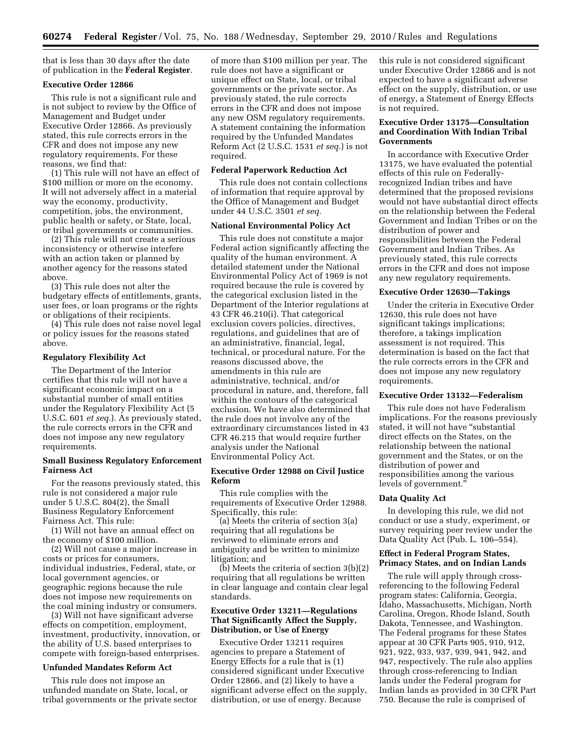that is less than 30 days after the date of publication in the **Federal Register**.

#### **Executive Order 12866**

This rule is not a significant rule and is not subject to review by the Office of Management and Budget under Executive Order 12866. As previously stated, this rule corrects errors in the CFR and does not impose any new regulatory requirements. For these reasons, we find that:

(1) This rule will not have an effect of \$100 million or more on the economy. It will not adversely affect in a material way the economy, productivity, competition, jobs, the environment, public health or safety, or State, local, or tribal governments or communities.

(2) This rule will not create a serious inconsistency or otherwise interfere with an action taken or planned by another agency for the reasons stated above.

(3) This rule does not alter the budgetary effects of entitlements, grants, user fees, or loan programs or the rights or obligations of their recipients.

(4) This rule does not raise novel legal or policy issues for the reasons stated above.

#### **Regulatory Flexibility Act**

The Department of the Interior certifies that this rule will not have a significant economic impact on a substantial number of small entities under the Regulatory Flexibility Act (5 U.S.C. 601 *et seq.*). As previously stated, the rule corrects errors in the CFR and does not impose any new regulatory requirements.

#### **Small Business Regulatory Enforcement Fairness Act**

For the reasons previously stated, this rule is not considered a major rule under 5 U.S.C. 804(2), the Small Business Regulatory Enforcement Fairness Act. This rule:

(1) Will not have an annual effect on the economy of \$100 million.

(2) Will not cause a major increase in costs or prices for consumers, individual industries, Federal, state, or local government agencies, or geographic regions because the rule does not impose new requirements on the coal mining industry or consumers.

(3) Will not have significant adverse effects on competition, employment, investment, productivity, innovation, or the ability of U.S. based enterprises to compete with foreign-based enterprises.

#### **Unfunded Mandates Reform Act**

This rule does not impose an unfunded mandate on State, local, or tribal governments or the private sector

of more than \$100 million per year. The rule does not have a significant or unique effect on State, local, or tribal governments or the private sector. As previously stated, the rule corrects errors in the CFR and does not impose any new OSM regulatory requirements. A statement containing the information required by the Unfunded Mandates Reform Act (2 U.S.C. 1531 *et seq.*) is not required.

#### **Federal Paperwork Reduction Act**

This rule does not contain collections of information that require approval by the Office of Management and Budget under 44 U.S.C. 3501 *et seq.* 

# **National Environmental Policy Act**

This rule does not constitute a major Federal action significantly affecting the quality of the human environment. A detailed statement under the National Environmental Policy Act of 1969 is not required because the rule is covered by the categorical exclusion listed in the Department of the Interior regulations at 43 CFR 46.210(i). That categorical exclusion covers policies, directives, regulations, and guidelines that are of an administrative, financial, legal, technical, or procedural nature. For the reasons discussed above, the amendments in this rule are administrative, technical, and/or procedural in nature, and, therefore, fall within the contours of the categorical exclusion. We have also determined that the rule does not involve any of the extraordinary circumstances listed in 43 CFR 46.215 that would require further analysis under the National Environmental Policy Act.

#### **Executive Order 12988 on Civil Justice Reform**

This rule complies with the requirements of Executive Order 12988. Specifically, this rule:

(a) Meets the criteria of section 3(a) requiring that all regulations be reviewed to eliminate errors and ambiguity and be written to minimize litigation; and

(b) Meets the criteria of section 3(b)(2) requiring that all regulations be written in clear language and contain clear legal standards.

#### **Executive Order 13211—Regulations That Significantly Affect the Supply, Distribution, or Use of Energy**

Executive Order 13211 requires agencies to prepare a Statement of Energy Effects for a rule that is (1) considered significant under Executive Order 12866, and (2) likely to have a significant adverse effect on the supply, distribution, or use of energy. Because

this rule is not considered significant under Executive Order 12866 and is not expected to have a significant adverse effect on the supply, distribution, or use of energy, a Statement of Energy Effects is not required.

#### **Executive Order 13175—Consultation and Coordination With Indian Tribal Governments**

In accordance with Executive Order 13175, we have evaluated the potential effects of this rule on Federallyrecognized Indian tribes and have determined that the proposed revisions would not have substantial direct effects on the relationship between the Federal Government and Indian Tribes or on the distribution of power and responsibilities between the Federal Government and Indian Tribes. As previously stated, this rule corrects errors in the CFR and does not impose any new regulatory requirements.

#### **Executive Order 12630—Takings**

Under the criteria in Executive Order 12630, this rule does not have significant takings implications; therefore, a takings implication assessment is not required. This determination is based on the fact that the rule corrects errors in the CFR and does not impose any new regulatory requirements.

# **Executive Order 13132—Federalism**

This rule does not have Federalism implications. For the reasons previously stated, it will not have "substantial direct effects on the States, on the relationship between the national government and the States, or on the distribution of power and responsibilities among the various levels of government.''

#### **Data Quality Act**

In developing this rule, we did not conduct or use a study, experiment, or survey requiring peer review under the Data Quality Act (Pub. L. 106–554).

#### **Effect in Federal Program States, Primacy States, and on Indian Lands**

The rule will apply through crossreferencing to the following Federal program states: California, Georgia, Idaho, Massachusetts, Michigan, North Carolina, Oregon, Rhode Island, South Dakota, Tennessee, and Washington. The Federal programs for these States appear at 30 CFR Parts 905, 910, 912, 921, 922, 933, 937, 939, 941, 942, and 947, respectively. The rule also applies through cross-referencing to Indian lands under the Federal program for Indian lands as provided in 30 CFR Part 750. Because the rule is comprised of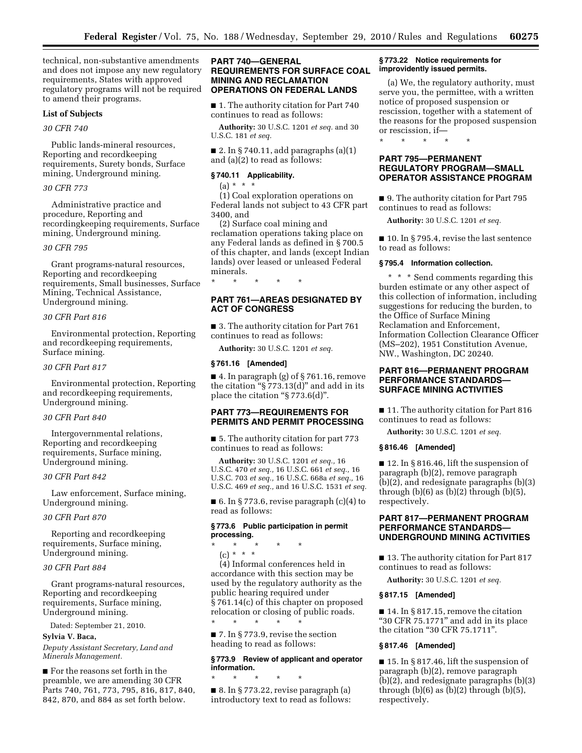technical, non-substantive amendments and does not impose any new regulatory requirements, States with approved regulatory programs will not be required to amend their programs.

#### **List of Subjects**

*30 CFR 740* 

Public lands-mineral resources, Reporting and recordkeeping requirements, Surety bonds, Surface mining, Underground mining.

#### *30 CFR 773*

Administrative practice and procedure, Reporting and recordingkeeping requirements, Surface mining, Underground mining.

#### *30 CFR 795*

Grant programs-natural resources, Reporting and recordkeeping requirements, Small businesses, Surface Mining, Technical Assistance, Underground mining.

# *30 CFR Part 816*

Environmental protection, Reporting and recordkeeping requirements, Surface mining.

#### *30 CFR Part 817*

Environmental protection, Reporting and recordkeeping requirements, Underground mining.

#### *30 CFR Part 840*

Intergovernmental relations, Reporting and recordkeeping requirements, Surface mining, Underground mining.

#### *30 CFR Part 842*

Law enforcement, Surface mining, Underground mining.

# *30 CFR Part 870*

Reporting and recordkeeping requirements, Surface mining, Underground mining.

#### *30 CFR Part 884*

Grant programs-natural resources, Reporting and recordkeeping requirements, Surface mining, Underground mining.

Dated: September 21, 2010.

# **Sylvia V. Baca,**

*Deputy Assistant Secretary, Land and Minerals Management.* 

■ For the reasons set forth in the preamble, we are amending 30 CFR Parts 740, 761, 773, 795, 816, 817, 840, 842, 870, and 884 as set forth below.

#### **PART 740—GENERAL REQUIREMENTS FOR SURFACE COAL MINING AND RECLAMATION OPERATIONS ON FEDERAL LANDS**

■ 1. The authority citation for Part 740 continues to read as follows:

**Authority:** 30 U.S.C. 1201 *et seq.* and 30 U.S.C. 181 *et seq.* 

■ 2. In § 740.11, add paragraphs  $(a)(1)$ and (a)(2) to read as follows:

#### **§ 740.11 Applicability.**

 $(a) * * * *$ 

(1) Coal exploration operations on Federal lands not subject to 43 CFR part 3400, and

(2) Surface coal mining and reclamation operations taking place on any Federal lands as defined in § 700.5 of this chapter, and lands (except Indian lands) over leased or unleased Federal minerals.

# **PART 761—AREAS DESIGNATED BY ACT OF CONGRESS**

■ 3. The authority citation for Part 761 continues to read as follows:

**Authority:** 30 U.S.C. 1201 *et seq.* 

#### **§ 761.16 [Amended]**

\* \* \* \* \*

■ 4. In paragraph (g) of § 761.16, remove the citation " $\S 773.13(d)$ " and add in its place the citation "§ 773.6(d)".

# **PART 773—REQUIREMENTS FOR PERMITS AND PERMIT PROCESSING**

■ 5. The authority citation for part 773 continues to read as follows:

**Authority:** 30 U.S.C. 1201 *et seq.,* 16 U.S.C. 470 *et seq.,* 16 U.S.C. 661 *et seq.,* 16 U.S.C. 703 *et seq.,* 16 U.S.C. 668a *et seq.,* 16 U.S.C. 469 *et seq.,* and 16 U.S.C. 1531 *et seq.* 

■ 6. In § 773.6, revise paragraph  $(c)(4)$  to read as follows:

# **§ 773.6 Public participation in permit processing.**

\* \* \* \* \*

(c) \* \* \* (4) Informal conferences held in accordance with this section may be used by the regulatory authority as the public hearing required under § 761.14(c) of this chapter on proposed relocation or closing of public roads. \* \* \* \* \*

■ 7. In § 773.9, revise the section heading to read as follows:

# **§ 773.9 Review of applicant and operator information.**

\* \* \* \* \* ■ 8. In § 773.22, revise paragraph (a) introductory text to read as follows:

#### **§ 773.22 Notice requirements for improvidently issued permits.**

(a) We, the regulatory authority, must serve you, the permittee, with a written notice of proposed suspension or rescission, together with a statement of the reasons for the proposed suspension or rescission, if—

\* \* \* \* \*

# **PART 795—PERMANENT REGULATORY PROGRAM—SMALL OPERATOR ASSISTANCE PROGRAM**

■ 9. The authority citation for Part 795 continues to read as follows:

**Authority:** 30 U.S.C. 1201 *et seq.* 

■ 10. In § 795.4, revise the last sentence to read as follows:

# **§ 795.4 Information collection.**

\* \* \* Send comments regarding this burden estimate or any other aspect of this collection of information, including suggestions for reducing the burden, to the Office of Surface Mining Reclamation and Enforcement, Information Collection Clearance Officer (MS–202), 1951 Constitution Avenue, NW., Washington, DC 20240.

# **PART 816—PERMANENT PROGRAM PERFORMANCE STANDARDS-SURFACE MINING ACTIVITIES**

■ 11. The authority citation for Part 816 continues to read as follows:

**Authority:** 30 U.S.C. 1201 *et seq.* 

# **§ 816.46 [Amended]**

■ 12. In § 816.46, lift the suspension of paragraph (b)(2), remove paragraph (b)(2), and redesignate paragraphs (b)(3) through  $(b)(6)$  as  $(b)(2)$  through  $(b)(5)$ , respectively.

# **PART 817—PERMANENT PROGRAM PERFORMANCE STANDARDS— UNDERGROUND MINING ACTIVITIES**

■ 13. The authority citation for Part 817 continues to read as follows:

**Authority:** 30 U.S.C. 1201 *et seq.* 

# **§ 817.15 [Amended]**

 $\blacksquare$  14. In § 817.15, remove the citation ''30 CFR 75.1771'' and add in its place the citation ''30 CFR 75.1711''.

# **§ 817.46 [Amended]**

■ 15. In § 817.46, lift the suspension of paragraph (b)(2), remove paragraph (b)(2), and redesignate paragraphs (b)(3) through  $(b)(6)$  as  $(b)(2)$  through  $(b)(5)$ , respectively.